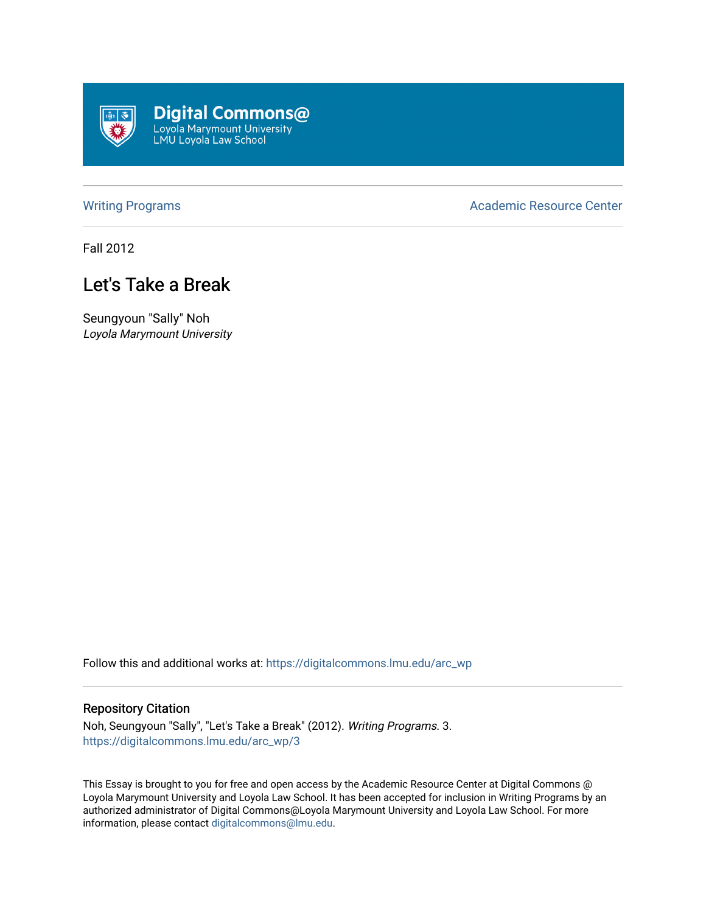

[Writing Programs](https://digitalcommons.lmu.edu/arc_wp) **Academic Resource Center** Academic Resource Center

Fall 2012

## Let's Take a Break

Seungyoun "Sally" Noh Loyola Marymount University

Follow this and additional works at: [https://digitalcommons.lmu.edu/arc\\_wp](https://digitalcommons.lmu.edu/arc_wp?utm_source=digitalcommons.lmu.edu%2Farc_wp%2F3&utm_medium=PDF&utm_campaign=PDFCoverPages)

## Repository Citation

Noh, Seungyoun "Sally", "Let's Take a Break" (2012). Writing Programs. 3. [https://digitalcommons.lmu.edu/arc\\_wp/3](https://digitalcommons.lmu.edu/arc_wp/3?utm_source=digitalcommons.lmu.edu%2Farc_wp%2F3&utm_medium=PDF&utm_campaign=PDFCoverPages)

This Essay is brought to you for free and open access by the Academic Resource Center at Digital Commons @ Loyola Marymount University and Loyola Law School. It has been accepted for inclusion in Writing Programs by an authorized administrator of Digital Commons@Loyola Marymount University and Loyola Law School. For more information, please contact [digitalcommons@lmu.edu.](mailto:digitalcommons@lmu.edu)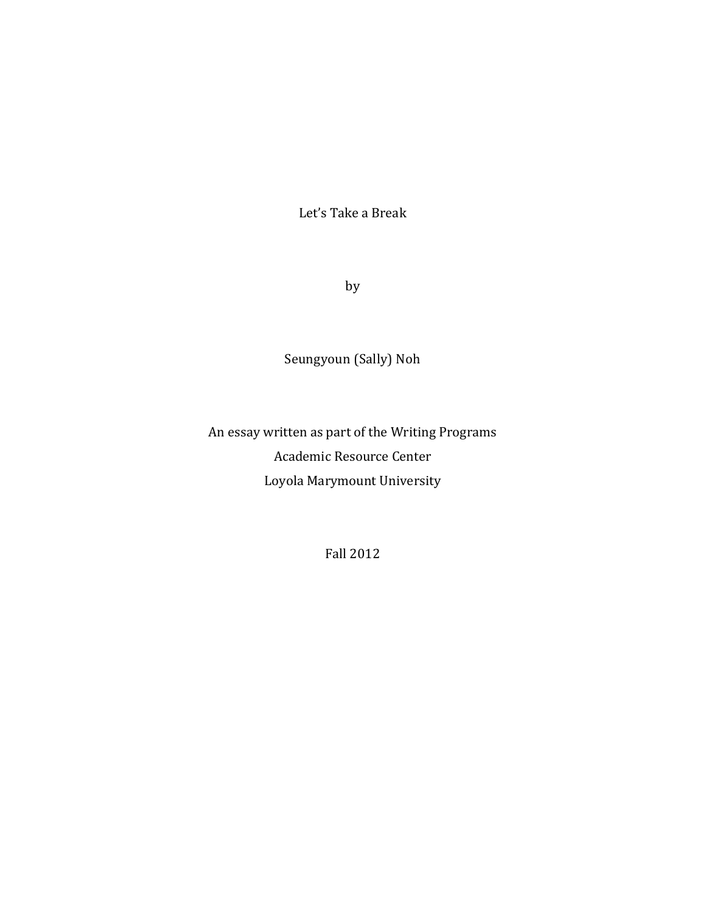Let's Take a Break

by

Seungyoun (Sally) Noh

An essay written as part of the Writing Programs Academic Resource Center Loyola Marymount University

Fall 2012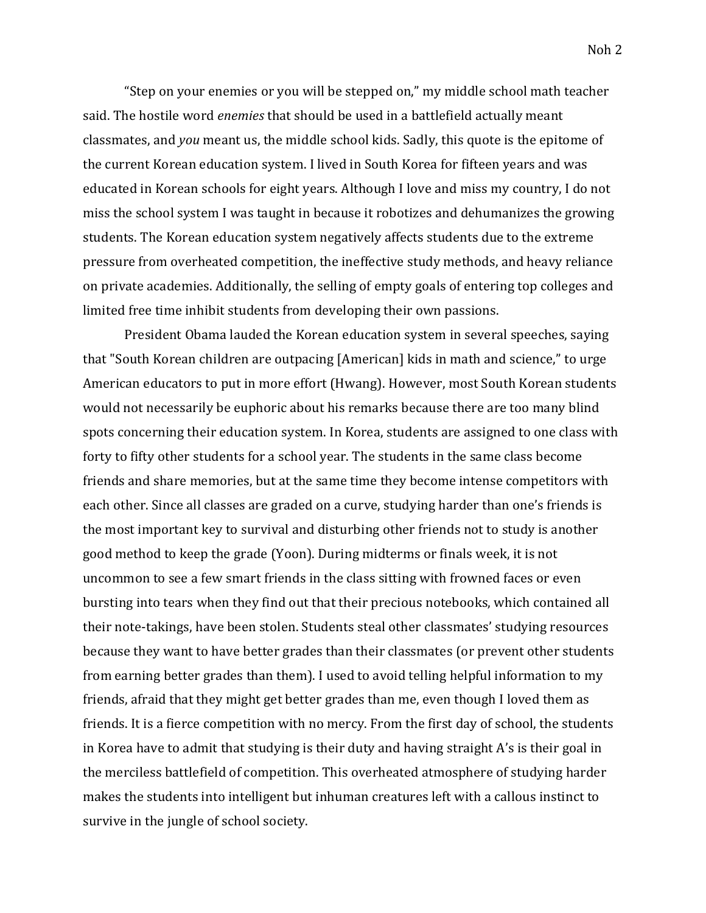"Step on your enemies or you will be stepped on," my middle school math teacher said. The hostile word *enemies* that should be used in a battlefield actually meant classmates, and *you* meant us, the middle school kids. Sadly, this quote is the epitome of the current Korean education system. I lived in South Korea for fifteen years and was educated in Korean schools for eight years. Although I love and miss my country, I do not miss the school system I was taught in because it robotizes and dehumanizes the growing students. The Korean education system negatively affects students due to the extreme pressure from overheated competition, the ineffective study methods, and heavy reliance on private academies. Additionally, the selling of empty goals of entering top colleges and limited free time inhibit students from developing their own passions.

President Obama lauded the Korean education system in several speeches, saying that "South Korean children are outpacing [American] kids in math and science," to urge American educators to put in more effort (Hwang). However, most South Korean students would not necessarily be euphoric about his remarks because there are too many blind spots concerning their education system. In Korea, students are assigned to one class with forty to fifty other students for a school year. The students in the same class become friends and share memories, but at the same time they become intense competitors with each other. Since all classes are graded on a curve, studying harder than one's friends is the most important key to survival and disturbing other friends not to study is another good method to keep the grade (Yoon). During midterms or finals week, it is not uncommon to see a few smart friends in the class sitting with frowned faces or even bursting into tears when they find out that their precious notebooks, which contained all their note-takings, have been stolen. Students steal other classmates' studying resources because they want to have better grades than their classmates (or prevent other students from earning better grades than them). I used to avoid telling helpful information to my friends, afraid that they might get better grades than me, even though I loved them as friends. It is a fierce competition with no mercy. From the first day of school, the students in Korea have to admit that studying is their duty and having straight A's is their goal in the merciless battlefield of competition. This overheated atmosphere of studying harder makes the students into intelligent but inhuman creatures left with a callous instinct to survive in the jungle of school society.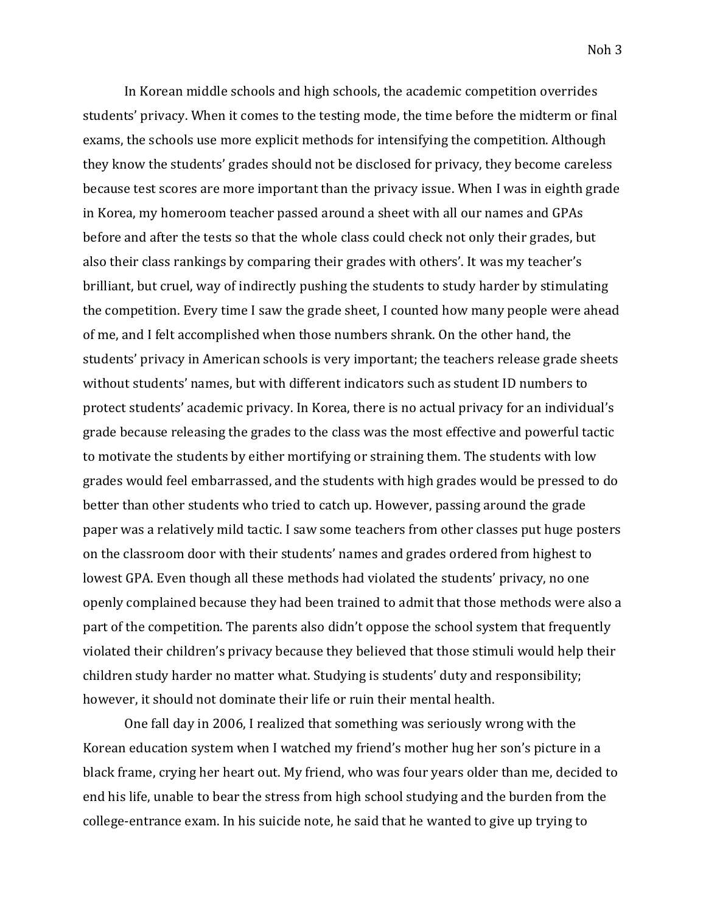Noh 3

In Korean middle schools and high schools, the academic competition overrides students' privacy. When it comes to the testing mode, the time before the midterm or final exams, the schools use more explicit methods for intensifying the competition. Although they know the students' grades should not be disclosed for privacy, they become careless because test scores are more important than the privacy issue. When I was in eighth grade in Korea, my homeroom teacher passed around a sheet with all our names and GPAs before and after the tests so that the whole class could check not only their grades, but also their class rankings by comparing their grades with others'. It was my teacher's brilliant, but cruel, way of indirectly pushing the students to study harder by stimulating the competition. Every time I saw the grade sheet, I counted how many people were ahead of me, and I felt accomplished when those numbers shrank. On the other hand, the students' privacy in American schools is very important; the teachers release grade sheets without students' names, but with different indicators such as student ID numbers to protect students' academic privacy. In Korea, there is no actual privacy for an individual's grade because releasing the grades to the class was the most effective and powerful tactic to motivate the students by either mortifying or straining them. The students with low grades would feel embarrassed, and the students with high grades would be pressed to do better than other students who tried to catch up. However, passing around the grade paper was a relatively mild tactic. I saw some teachers from other classes put huge posters on the classroom door with their students' names and grades ordered from highest to lowest GPA. Even though all these methods had violated the students' privacy, no one openly complained because they had been trained to admit that those methods were also a part of the competition. The parents also didn't oppose the school system that frequently violated their children's privacy because they believed that those stimuli would help their children study harder no matter what. Studying is students' duty and responsibility; however, it should not dominate their life or ruin their mental health.

One fall day in 2006, I realized that something was seriously wrong with the Korean education system when I watched my friend's mother hug her son's picture in a black frame, crying her heart out. My friend, who was four years older than me, decided to end his life, unable to bear the stress from high school studying and the burden from the college-entrance exam. In his suicide note, he said that he wanted to give up trying to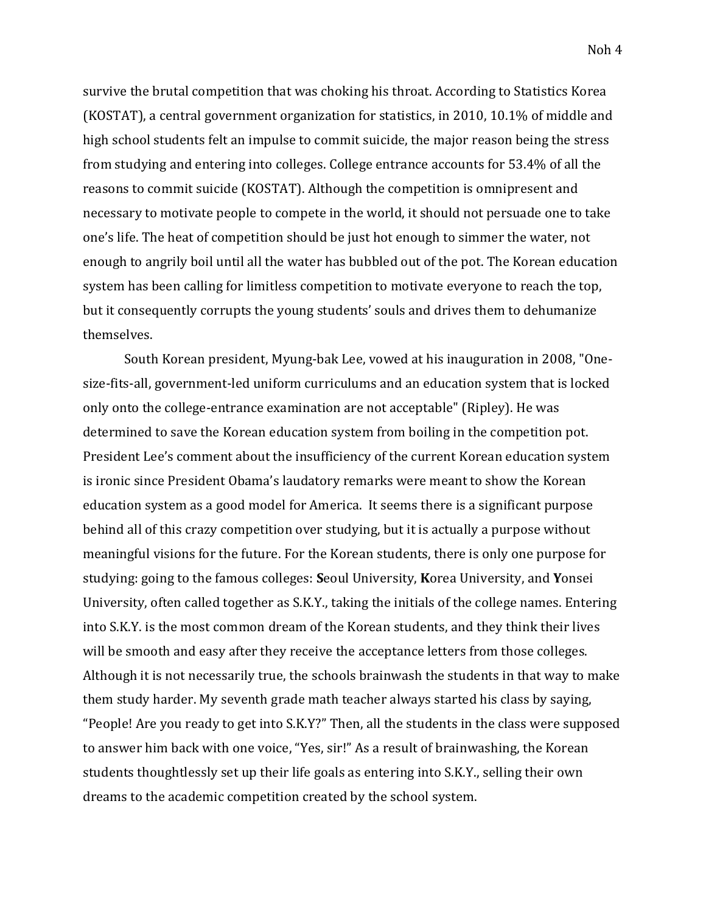Noh 4

survive the brutal competition that was choking his throat. According to Statistics Korea (KOSTAT), a central government organization for statistics, in 2010, 10.1% of middle and high school students felt an impulse to commit suicide, the major reason being the stress from studying and entering into colleges. College entrance accounts for 53.4% of all the reasons to commit suicide (KOSTAT). Although the competition is omnipresent and necessary to motivate people to compete in the world, it should not persuade one to take one's life. The heat of competition should be just hot enough to simmer the water, not enough to angrily boil until all the water has bubbled out of the pot. The Korean education system has been calling for limitless competition to motivate everyone to reach the top, but it consequently corrupts the young students' souls and drives them to dehumanize themselves.

South Korean president, Myung-bak Lee, vowed at his inauguration in 2008, "Onesize-fits-all, government-led uniform curriculums and an education system that is locked only onto the college-entrance examination are not acceptable" (Ripley). He was determined to save the Korean education system from boiling in the competition pot. President Lee's comment about the insufficiency of the current Korean education system is ironic since President Obama's laudatory remarks were meant to show the Korean education system as a good model for America. It seems there is a significant purpose behind all of this crazy competition over studying, but it is actually a purpose without meaningful visions for the future. For the Korean students, there is only one purpose for studying: going to the famous colleges: **S**eoul University, **K**orea University, and **Y**onsei University, often called together as S.K.Y., taking the initials of the college names. Entering into S.K.Y. is the most common dream of the Korean students, and they think their lives will be smooth and easy after they receive the acceptance letters from those colleges. Although it is not necessarily true, the schools brainwash the students in that way to make them study harder. My seventh grade math teacher always started his class by saying, "People! Are you ready to get into S.K.Y?" Then, all the students in the class were supposed to answer him back with one voice, "Yes, sir!" As a result of brainwashing, the Korean students thoughtlessly set up their life goals as entering into S.K.Y., selling their own dreams to the academic competition created by the school system.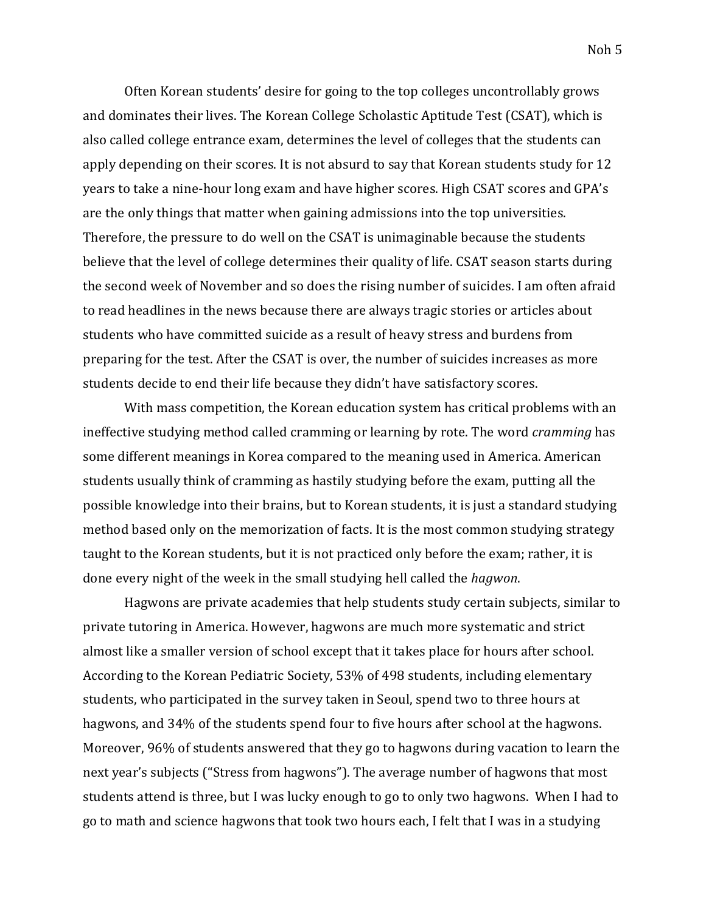Often Korean students' desire for going to the top colleges uncontrollably grows and dominates their lives. The Korean College Scholastic Aptitude Test (CSAT), which is also called college entrance exam, determines the level of colleges that the students can apply depending on their scores. It is not absurd to say that Korean students study for 12 years to take a nine-hour long exam and have higher scores. High CSAT scores and GPA's are the only things that matter when gaining admissions into the top universities. Therefore, the pressure to do well on the CSAT is unimaginable because the students believe that the level of college determines their quality of life. CSAT season starts during the second week of November and so does the rising number of suicides. I am often afraid to read headlines in the news because there are always tragic stories or articles about students who have committed suicide as a result of heavy stress and burdens from preparing for the test. After the CSAT is over, the number of suicides increases as more students decide to end their life because they didn't have satisfactory scores.

With mass competition, the Korean education system has critical problems with an ineffective studying method called cramming or learning by rote. The word *cramming* has some different meanings in Korea compared to the meaning used in America. American students usually think of cramming as hastily studying before the exam, putting all the possible knowledge into their brains, but to Korean students, it is just a standard studying method based only on the memorization of facts. It is the most common studying strategy taught to the Korean students, but it is not practiced only before the exam; rather, it is done every night of the week in the small studying hell called the *hagwon*.

Hagwons are private academies that help students study certain subjects, similar to private tutoring in America. However, hagwons are much more systematic and strict almost like a smaller version of school except that it takes place for hours after school. According to the Korean Pediatric Society, 53% of 498 students, including elementary students, who participated in the survey taken in Seoul, spend two to three hours at hagwons, and 34% of the students spend four to five hours after school at the hagwons. Moreover, 96% of students answered that they go to hagwons during vacation to learn the next year's subjects ("Stress from hagwons"). The average number of hagwons that most students attend is three, but I was lucky enough to go to only two hagwons. When I had to go to math and science hagwons that took two hours each, I felt that I was in a studying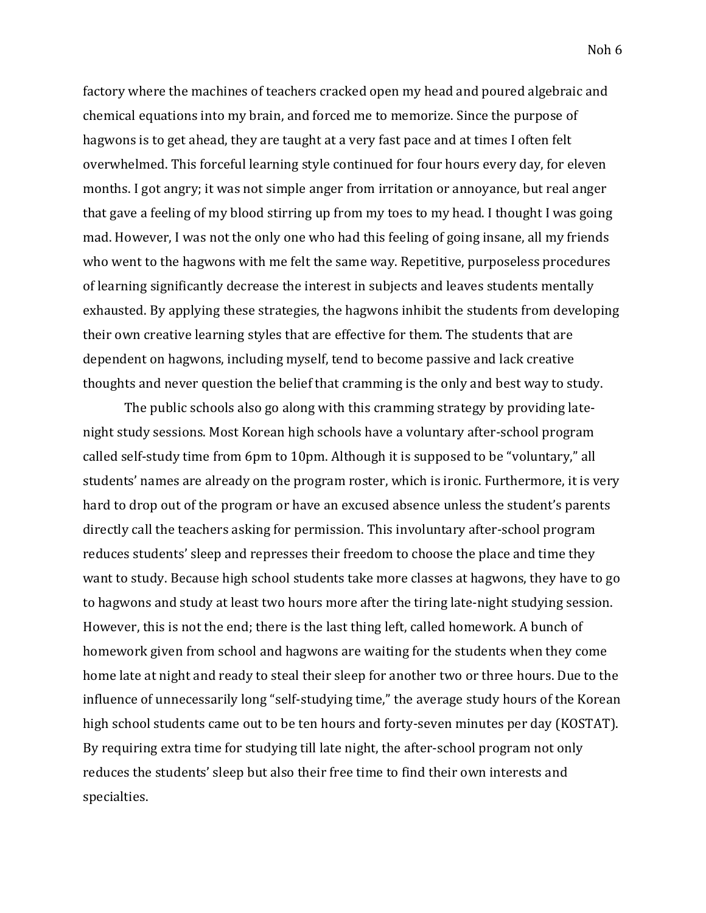factory where the machines of teachers cracked open my head and poured algebraic and chemical equations into my brain, and forced me to memorize. Since the purpose of hagwons is to get ahead, they are taught at a very fast pace and at times I often felt overwhelmed. This forceful learning style continued for four hours every day, for eleven months. I got angry; it was not simple anger from irritation or annoyance, but real anger that gave a feeling of my blood stirring up from my toes to my head. I thought I was going mad. However, I was not the only one who had this feeling of going insane, all my friends who went to the hagwons with me felt the same way. Repetitive, purposeless procedures of learning significantly decrease the interest in subjects and leaves students mentally exhausted. By applying these strategies, the hagwons inhibit the students from developing their own creative learning styles that are effective for them. The students that are dependent on hagwons, including myself, tend to become passive and lack creative thoughts and never question the belief that cramming is the only and best way to study.

The public schools also go along with this cramming strategy by providing latenight study sessions. Most Korean high schools have a voluntary after-school program called self-study time from 6pm to 10pm. Although it is supposed to be "voluntary," all students' names are already on the program roster, which is ironic. Furthermore, it is very hard to drop out of the program or have an excused absence unless the student's parents directly call the teachers asking for permission. This involuntary after-school program reduces students' sleep and represses their freedom to choose the place and time they want to study. Because high school students take more classes at hagwons, they have to go to hagwons and study at least two hours more after the tiring late-night studying session. However, this is not the end; there is the last thing left, called homework. A bunch of homework given from school and hagwons are waiting for the students when they come home late at night and ready to steal their sleep for another two or three hours. Due to the influence of unnecessarily long "self-studying time," the average study hours of the Korean high school students came out to be ten hours and forty-seven minutes per day (KOSTAT). By requiring extra time for studying till late night, the after-school program not only reduces the students' sleep but also their free time to find their own interests and specialties.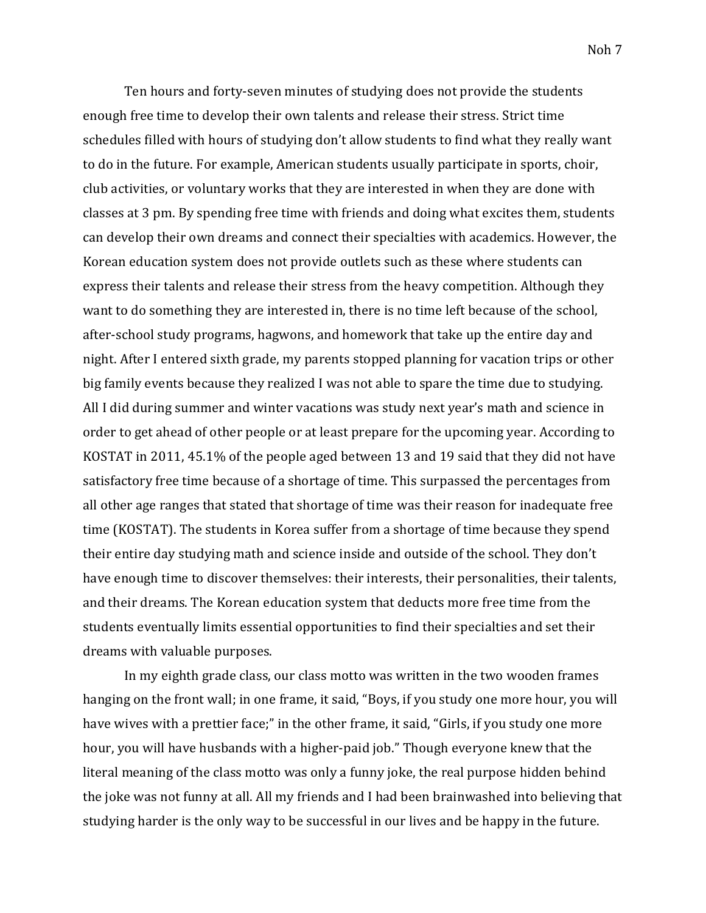Ten hours and forty-seven minutes of studying does not provide the students enough free time to develop their own talents and release their stress. Strict time schedules filled with hours of studying don't allow students to find what they really want to do in the future. For example, American students usually participate in sports, choir, club activities, or voluntary works that they are interested in when they are done with classes at 3 pm. By spending free time with friends and doing what excites them, students can develop their own dreams and connect their specialties with academics. However, the Korean education system does not provide outlets such as these where students can express their talents and release their stress from the heavy competition. Although they want to do something they are interested in, there is no time left because of the school, after-school study programs, hagwons, and homework that take up the entire day and night. After I entered sixth grade, my parents stopped planning for vacation trips or other big family events because they realized I was not able to spare the time due to studying. All I did during summer and winter vacations was study next year's math and science in order to get ahead of other people or at least prepare for the upcoming year. According to KOSTAT in 2011, 45.1% of the people aged between 13 and 19 said that they did not have satisfactory free time because of a shortage of time. This surpassed the percentages from all other age ranges that stated that shortage of time was their reason for inadequate free time (KOSTAT). The students in Korea suffer from a shortage of time because they spend their entire day studying math and science inside and outside of the school. They don't have enough time to discover themselves: their interests, their personalities, their talents, and their dreams. The Korean education system that deducts more free time from the students eventually limits essential opportunities to find their specialties and set their dreams with valuable purposes.

In my eighth grade class, our class motto was written in the two wooden frames hanging on the front wall; in one frame, it said, "Boys, if you study one more hour, you will have wives with a prettier face;" in the other frame, it said, "Girls, if you study one more hour, you will have husbands with a higher-paid job." Though everyone knew that the literal meaning of the class motto was only a funny joke, the real purpose hidden behind the joke was not funny at all. All my friends and I had been brainwashed into believing that studying harder is the only way to be successful in our lives and be happy in the future.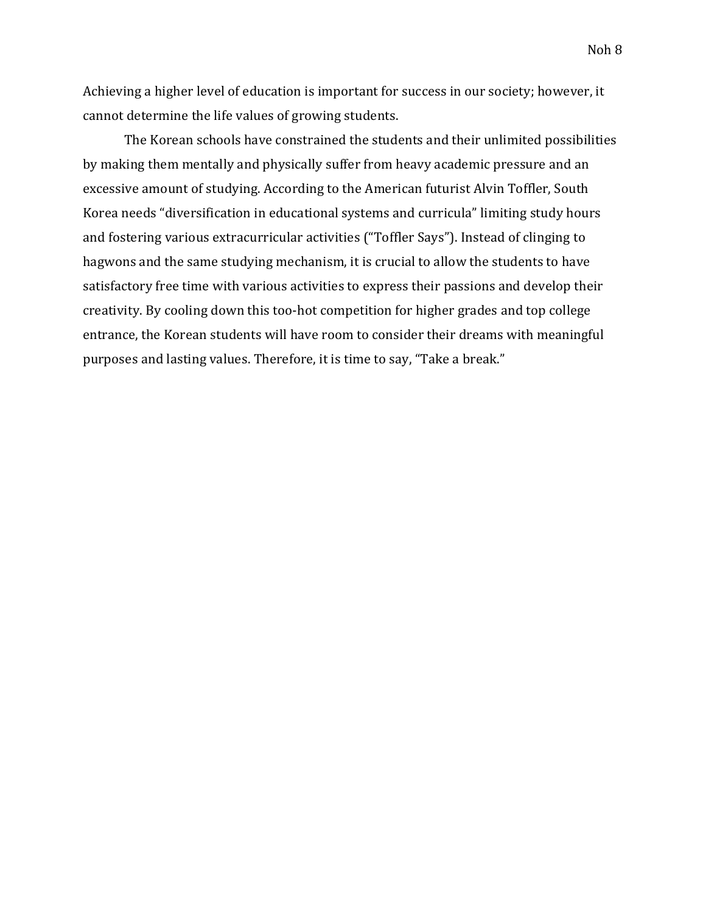Achieving a higher level of education is important for success in our society; however, it cannot determine the life values of growing students.

The Korean schools have constrained the students and their unlimited possibilities by making them mentally and physically suffer from heavy academic pressure and an excessive amount of studying. According to the American futurist Alvin Toffler, South Korea needs "diversification in educational systems and curricula" limiting study hours and fostering various extracurricular activities ("Toffler Says"). Instead of clinging to hagwons and the same studying mechanism, it is crucial to allow the students to have satisfactory free time with various activities to express their passions and develop their creativity. By cooling down this too-hot competition for higher grades and top college entrance, the Korean students will have room to consider their dreams with meaningful purposes and lasting values. Therefore, it is time to say, "Take a break."